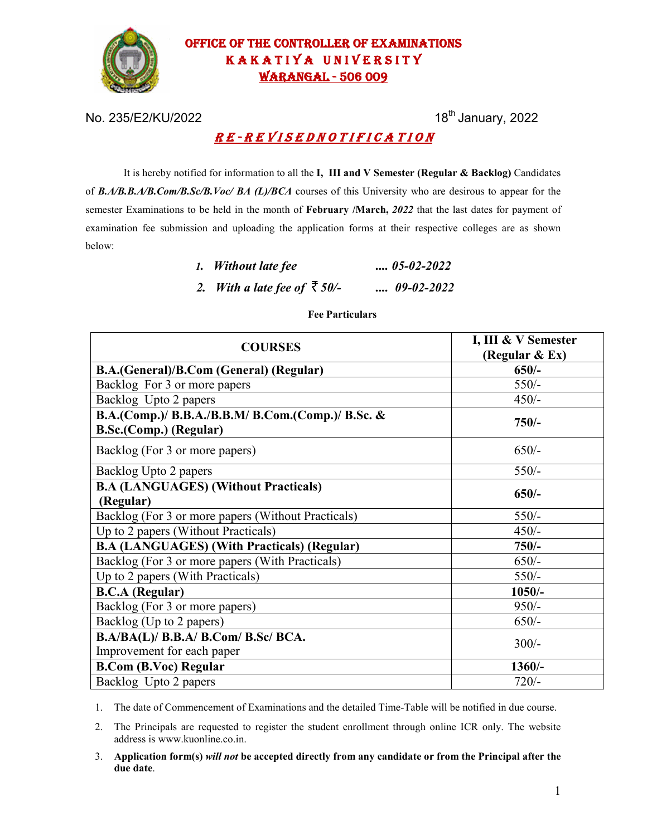

# OFFICE OF THE CONTROLLER OF EXAMINATIONS KAKATIYA UNIVERSITY WARANGAL - 506 009

No. 235/E2/KU/2022 18<sup>th</sup> January, 2022

## R E - R E V I S E D N O T I F I C A T I O N

It is hereby notified for information to all the **I, III and V Semester (Regular & Backlog)** Candidates of *B.A/B.B.A/B.Com/B.Sc/B.Voc/ BA (L)/BCA* courses of this University who are desirous to appear for the semester Examinations to be held in the month of **February /March,** *2022* that the last dates for payment of examination fee submission and uploading the application forms at their respective colleges are as shown below:

| 1. Without late fee                  | $\ldots$ 05-02-2022 |
|--------------------------------------|---------------------|
| 2. With a late fee of $\bar{z}$ 50/- | $\ldots$ 09-02-2022 |

### **Fee Particulars**

| <b>COURSES</b>                                                              | I, III & V Semester<br>(Regular & Ex) |  |
|-----------------------------------------------------------------------------|---------------------------------------|--|
| B.A.(General)/B.Com (General) (Regular)                                     | $650/-$                               |  |
| Backlog For 3 or more papers                                                | $550/-$                               |  |
| Backlog Upto 2 papers                                                       | $450/-$                               |  |
| B.A.(Comp.)/ B.B.A./B.B.M/ B.Com.(Comp.)/ B.Sc. &<br>B.Sc.(Comp.) (Regular) | $750/-$                               |  |
| Backlog (For 3 or more papers)                                              | $650/-$                               |  |
| Backlog Upto 2 papers                                                       | $550/-$                               |  |
| <b>B.A (LANGUAGES) (Without Practicals)</b><br>(Regular)                    | $650/-$                               |  |
| Backlog (For 3 or more papers (Without Practicals)                          | $550/-$                               |  |
| Up to 2 papers (Without Practicals)                                         | $450/-$                               |  |
| <b>B.A (LANGUAGES) (With Practicals) (Regular)</b>                          | $750/-$                               |  |
| Backlog (For 3 or more papers (With Practicals)                             | $650/-$                               |  |
| Up to 2 papers (With Practicals)                                            | $550/-$                               |  |
| <b>B.C.A</b> (Regular)                                                      | $1050/-$                              |  |
| Backlog (For 3 or more papers)                                              | $950/-$                               |  |
| Backlog (Up to 2 papers)                                                    | $650/-$                               |  |
| B.A/BA(L)/ B.B.A/ B.Com/ B.Sc/ BCA.<br>Improvement for each paper           | $300/-$                               |  |
| <b>B.Com (B.Voc) Regular</b>                                                | $1360/-$                              |  |
| Backlog Upto 2 papers                                                       | $720/-$                               |  |

1. The date of Commencement of Examinations and the detailed Time-Table will be notified in due course.

2. The Principals are requested to register the student enrollment through online ICR only. The website address is www.kuonline.co.in.

3. **Application form(s)** *will not* **be accepted directly from any candidate or from the Principal after the due date**.